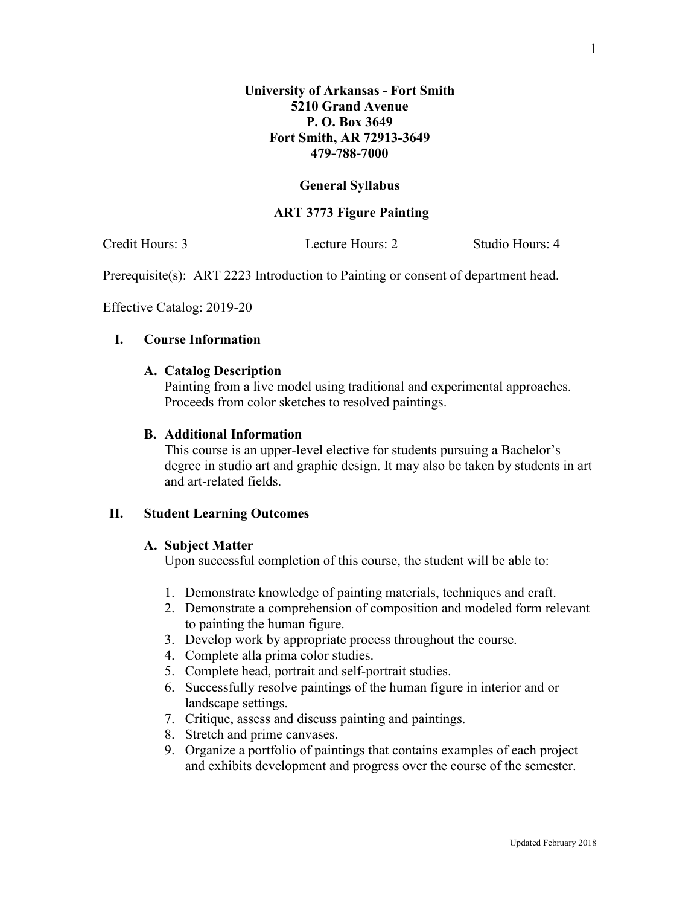### **General Syllabus**

### **ART 3773 Figure Painting**

Credit Hours: 3 Lecture Hours: 2 Studio Hours: 4

Prerequisite(s): ART 2223 Introduction to Painting or consent of department head.

Effective Catalog: 2019-20

# **I. Course Information**

### **A. Catalog Description**

Painting from a live model using traditional and experimental approaches. Proceeds from color sketches to resolved paintings.

## **B. Additional Information**

This course is an upper-level elective for students pursuing a Bachelor's degree in studio art and graphic design. It may also be taken by students in art and art-related fields.

## **II. Student Learning Outcomes**

## **A. Subject Matter**

Upon successful completion of this course, the student will be able to:

- 1. Demonstrate knowledge of painting materials, techniques and craft.
- 2. Demonstrate a comprehension of composition and modeled form relevant to painting the human figure.
- 3. Develop work by appropriate process throughout the course.
- 4. Complete alla prima color studies.
- 5. Complete head, portrait and self-portrait studies.
- 6. Successfully resolve paintings of the human figure in interior and or landscape settings.
- 7. Critique, assess and discuss painting and paintings.
- 8. Stretch and prime canvases.
- 9. Organize a portfolio of paintings that contains examples of each project and exhibits development and progress over the course of the semester.